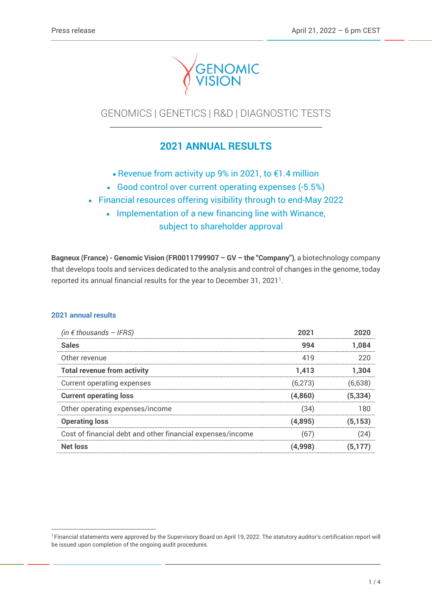

# GENOMICS | GENETICS | R&D | DIAGNOSTIC TESTS

# **2021 ANNUAL RESULTS**

- Revenue from activity up 9% in 2021, to €1.4 million
- Good control over current operating expenses (-5.5%)
- Financial resources offering visibility through to end-May 2022
	- Implementation of a new financing line with Winance,

subject to shareholder approval

**Bagneux (France) - Genomic Vision (FR0011799907 – GV – the "Company")**, a biotechnology company that develops tools and services dedicated to the analysis and control of changes in the genome, today reported its annual financial results for the year to December 31, 2021 1 .

## **2021 annual results**

| (in $\epsilon$ thousands - IFRS)                           | 2021    | 2020     |
|------------------------------------------------------------|---------|----------|
| <b>Sales</b>                                               | 994     | 1.084    |
| Other revenue                                              | 419     | 220      |
| <b>Total revenue from activity</b>                         | 1.413   | 1.304    |
| Current operating expenses                                 | (6,273) | (6,638)  |
| <b>Current operating loss</b>                              | (4,860) | (5, 334) |
| Other operating expenses/income                            | (34)    | 180      |
| <b>Operating loss</b>                                      | (4,895) | (5, 153) |
| Cost of financial debt and other financial expenses/income | (67     | (24)     |
| Net loss                                                   | (4,998) | 5.177    |

<sup>&</sup>lt;sup>1</sup> Financial statements were approved by the Supervisory Board on April 19, 2022. The statutory auditor's certification report will be issued upon completion of the ongoing audit procedures.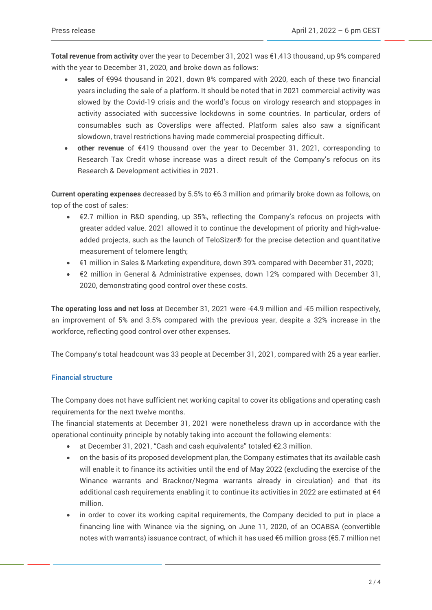**Total revenue from activity** over the year to December 31, 2021 was €1,413 thousand, up 9% compared with the year to December 31, 2020, and broke down as follows:

- **sales** of €994 thousand in 2021, down 8% compared with 2020, each of these two financial years including the sale of a platform. It should be noted that in 2021 commercial activity was slowed by the Covid-19 crisis and the world's focus on virology research and stoppages in activity associated with successive lockdowns in some countries. In particular, orders of consumables such as Coverslips were affected. Platform sales also saw a significant slowdown, travel restrictions having made commercial prospecting difficult.
- **other revenue** of €419 thousand over the year to December 31, 2021, corresponding to Research Tax Credit whose increase was a direct result of the Company's refocus on its Research & Development activities in 2021.

**Current operating expenses** decreased by 5.5% to €6.3 million and primarily broke down as follows, on top of the cost of sales:

- €2.7 million in R&D spending, up 35%, reflecting the Company's refocus on projects with greater added value. 2021 allowed it to continue the development of priority and high-valueadded projects, such as the launch of TeloSizer® for the precise detection and quantitative measurement of telomere length;
- €1 million in Sales & Marketing expenditure, down 39% compared with December 31, 2020;
- €2 million in General & Administrative expenses, down 12% compared with December 31, 2020, demonstrating good control over these costs.

**The operating loss and net loss** at December 31, 2021 were -€4.9 million and -€5 million respectively, an improvement of 5% and 3.5% compared with the previous year, despite a 32% increase in the workforce, reflecting good control over other expenses.

The Company's total headcount was 33 people at December 31, 2021, compared with 25 a year earlier.

## **Financial structure**

The Company does not have sufficient net working capital to cover its obligations and operating cash requirements for the next twelve months.

The financial statements at December 31, 2021 were nonetheless drawn up in accordance with the operational continuity principle by notably taking into account the following elements:

- at December 31, 2021, "Cash and cash equivalents" totaled €2.3 million.
- on the basis of its proposed development plan, the Company estimates that its available cash will enable it to finance its activities until the end of May 2022 (excluding the exercise of the Winance warrants and Bracknor/Negma warrants already in circulation) and that its additional cash requirements enabling it to continue its activities in 2022 are estimated at  $\epsilon 4$ million.
- in order to cover its working capital requirements, the Company decided to put in place a financing line with Winance via the signing, on June 11, 2020, of an OCABSA (convertible notes with warrants) issuance contract, of which it has used €6 million gross (€5.7 million net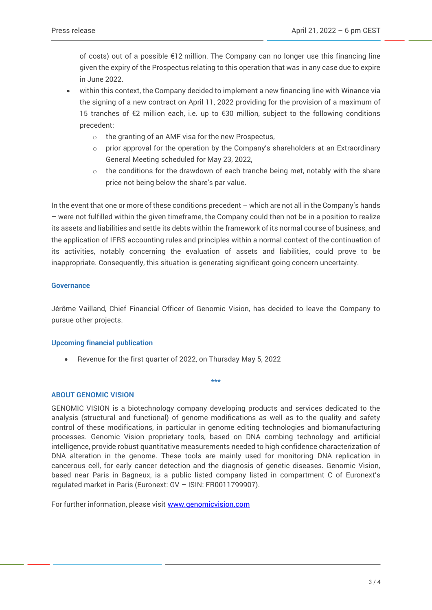of costs) out of a possible €12 million. The Company can no longer use this financing line given the expiry of the Prospectus relating to this operation that was in any case due to expire in June 2022.

- within this context, the Company decided to implement a new financing line with Winance via the signing of a new contract on April 11, 2022 providing for the provision of a maximum of 15 tranches of €2 million each, i.e. up to €30 million, subject to the following conditions precedent:
	- o the granting of an AMF visa for the new Prospectus,
	- $\circ$  prior approval for the operation by the Company's shareholders at an Extraordinary General Meeting scheduled for May 23, 2022,
	- $\circ$  the conditions for the drawdown of each tranche being met, notably with the share price not being below the share's par value.

In the event that one or more of these conditions precedent – which are not all in the Company's hands – were not fulfilled within the given timeframe, the Company could then not be in a position to realize its assets and liabilities and settle its debts within the framework of its normal course of business, and the application of IFRS accounting rules and principles within a normal context of the continuation of its activities, notably concerning the evaluation of assets and liabilities, could prove to be inappropriate. Consequently, this situation is generating significant going concern uncertainty.

### **Governance**

Jérôme Vailland, Chief Financial Officer of Genomic Vision, has decided to leave the Company to pursue other projects.

### **Upcoming financial publication**

• Revenue for the first quarter of 2022, on Thursday May 5, 2022

#### **\*\*\***

### **ABOUT GENOMIC VISION**

GENOMIC VISION is a biotechnology company developing products and services dedicated to the analysis (structural and functional) of genome modifications as well as to the quality and safety control of these modifications, in particular in genome editing technologies and biomanufacturing processes. Genomic Vision proprietary tools, based on DNA combing technology and artificial intelligence, provide robust quantitative measurements needed to high confidence characterization of DNA alteration in the genome. These tools are mainly used for monitoring DNA replication in cancerous cell, for early cancer detection and the diagnosis of genetic diseases. Genomic Vision, based near Paris in Bagneux, is a public listed company listed in compartment C of Euronext's regulated market in Paris (Euronext: GV – ISIN: FR0011799907).

For further information, please visit [www.genomicvision.com](http://www.genomicvision.com/)